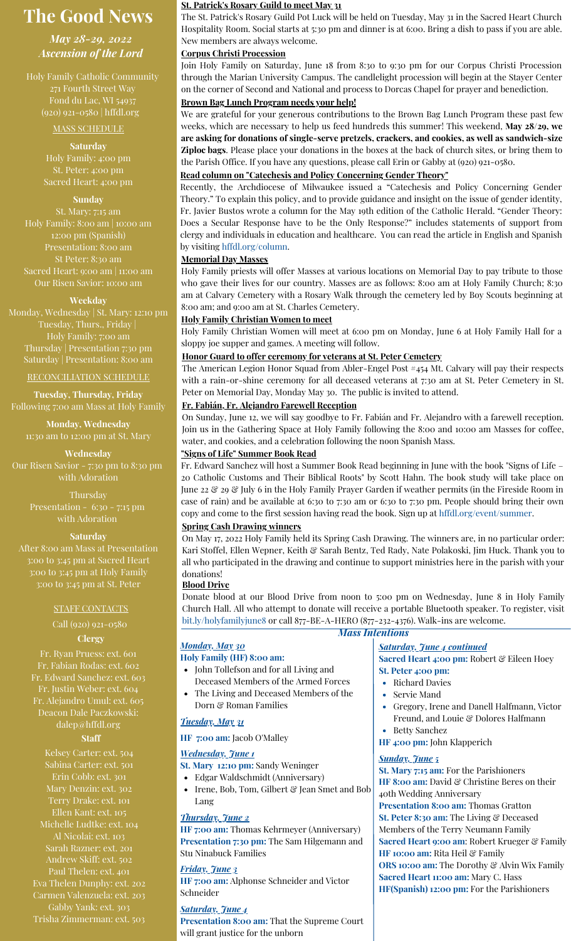# **The Good News**

*May 28-29, 2022 Ascension of the Lord*

Holy Family Catholic Community 271 Fourth Street Way Fond du Lac, WI 54937 (920) 921-0580 | hffdl.org

#### MASS SCHEDULE

**Saturday** Holy Family: 4:00 pm Sacred Heart: 4:00 pm

#### **Sunday**

St. Mary: 7:15 am Holy Family: 8:00 am | 10:00 am 12:00 pm (Spanish) Presentation: 8:00 am Sacred Heart: 9:00 am | 11:00 am Our Risen Savior: 10:00 am

#### **Weekday**

Monday, Wednesday | St. Mary: 12:10 pm Tuesday, Thurs., Friday | Holy Family: 7:00 am Thursday | Presentation 7:30 pm Saturday | Presentation: 8:00 am

#### RECONCILIATION SCHEDULE

**Tuesday, Thursday, Friday** Following 7:00 am Mass at Holy Family

**Monday, Wednesday** 11:30 am to 12:00 pm at St. Mary

**Wednesday** Our Risen Savior - 7:30 pm to 8:30 pm with Adoration

> Thursday Presentation - 6:30 - 7:15 pm with Adoration

#### **Saturday**

After 8:00 am Mass at Presentation 3:00 to 3:45 pm at Sacred Heart 3:00 to 3:45 pm at Holy Family 3:00 to 3:45 pm at St. Peter

#### STAFF CONTACTS

Call (920) 921-0580

# **Clergy**

Fr. Ryan Pruess: ext. 601 Fr. Fabian Rodas: ext. 602 Fr. Edward Sanchez: ext. 603 Fr. Justin Weber: ext. 604 Fr. Alejandro Umul: ext. 605 Deacon Dale Paczkowski: [dalep@hffdl.org](mailto:dalep@hffdl.org)

#### **Staff**

Kelsey Carter: ext. 504 Sabina Carter: ext. 501 Erin Cobb: ext. 301 Mary Denzin: ext. 302 Terry Drake: ext. 101 Ellen Kant: ext. 105 Michelle Ludtke: ext. 104 Al Nicolai: ext. 103 Sarah Razner: ext. 201 Andrew Skiff: ext. 502 Paul Thelen: ext. 401 Eva Thelen Dunphy: ext. 202 Carmen Valenzuela: ext. 203 Gabby Yank: ext. 303 Trisha Zimmerman: ext. 503

#### **St. Patrick's Rosary Guild to meet May 31**

The St. Patrick's Rosary Guild Pot Luck will be held on Tuesday, May 31 in the Sacred Heart Church Hospitality Room. Social starts at 5:30 pm and dinner is at 6:00. Bring a dish to pass if you are able. New members are always welcome.

### **Corpus Christi Procession**

Join Holy Family on Saturday, June 18 from 8:30 to 9:30 pm for our Corpus Christi Procession through the Marian University Campus. The candlelight procession will begin at the Stayer Center on the corner of Second and National and process to Dorcas Chapel for prayer and benediction.

# **Brown Bag Lunch Program needs your help!**

We are grateful for your generous contributions to the Brown Bag Lunch Program these past few weeks, which are necessary to help us feed hundreds this summer! This weekend, **May 28/29, we are asking for donations of single-serve pretzels, crackers, and cookies, as well as sandwich-size Ziploc bags**. Please place your donations in the boxes at the back of church sites, or bring them to the Parish Office. If you have any questions, please call Erin or Gabby at (920) 921-0580.

#### **Read column on "Catechesis and Policy Concerning Gender Theory"**

Recently, the Archdiocese of Milwaukee issued a "Catechesis and Policy Concerning Gender Theory." To explain this policy, and to provide guidance and insight on the issue of gender identity, Fr. Javier Bustos wrote a column for the May 19th edition of the Catholic Herald. "Gender Theory: Does a Secular Response have to be the Only Response?" includes statements of support from clergy and individuals in education and healthcare. You can read the article in English and Spanish by visiting [hffdl.org/column](https://www.hffdl.org/column/).

#### **Memorial Day Masses**

Holy Family priests will offer Masses at various locations on Memorial Day to pay tribute to those who gave their lives for our country. Masses are as follows: 8:00 am at Holy Family Church; 8:30 am at Calvary Cemetery with a Rosary Walk through the cemetery led by Boy Scouts beginning at 8:00 am; and 9:00 am at St. Charles Cemetery.

#### **Holy Family Christian Women to meet**

Holy Family Christian Women will meet at 6:00 pm on Monday, June 6 at Holy Family Hall for a sloppy joe supper and games. A meeting will follow.

#### **Honor Guard to offer ceremony for veterans at St. Peter Cemetery**

The American Legion Honor Squad from Abler-Engel Post #454 Mt. Calvary will pay their respects with a rain-or-shine ceremony for all deceased veterans at 7:30 am at St. Peter Cemetery in St. Peter on Memorial Day, Monday May 30. The public is invited to attend.

# **Fr. Fabián, Fr. Alejandro Farewell Reception**

On Sunday, June 12, we will say goodbye to Fr. Fabián and Fr. Alejandro with a farewell reception. Join us in the Gathering Space at Holy Family following the 8:00 and 10:00 am Masses for coffee, water, and cookies, and a celebration following the noon Spanish Mass.

#### **"Signs of Life" Summer Book Read**

Fr. Edward Sanchez will host a Summer Book Read beginning in June with the book "Signs of Life – 20 Catholic Customs and Their Biblical Roots" by Scott Hahn. The book study will take place on June 22 & 29 & July 6 in the Holy Family Prayer Garden if weather permits (in the Fireside Room in case of rain) and be available at 6:30 to 7:30 am or 6:30 to 7:30 pm. People should bring their own copy and come to the first session having read the book. Sign up at [hffdl.org/event/summer.](http://hffdl.org/event/summer)

#### **Spring Cash Drawing winners**

On May 17, 2022 Holy Family held its Spring Cash Drawing. The winners are, in no particular order: Kari Stoffel, Ellen Wepner, Keith & Sarah Bentz, Ted Rady, Nate Polakoski, Jim Huck. Thank you to all who participated in the drawing and continue to support ministries here in the parish with your donations!

#### **Blood Drive**

Donate blood at our Blood Drive from noon to 5:00 pm on Wednesday, June 8 in Holy Family Church Hall. All who attempt to donate will receive a portable Bluetooth speaker. To register, visit [bit.ly/holyfamilyjune8](http://bit.ly/holyfamilyjune8) or call 877-BE-A-HERO (877-232-4376). Walk-ins are welcome.

# *Monday, May 30*

#### **Holy Family (HF) 8:00 am:**

- John Tollefson and for all Living and Deceased Members of the Armed Forces
- The Living and Deceased Members of the Dorn & Roman Families

## *Tuesday, May 31*

# **HF 7:00 am:** Jacob O'Malley

# *Wednesday, June 1*

- **St. Mary 12:10 pm:** Sandy Weninger
- Edgar Waldschmidt (Anniversary)
- Irene, Bob, Tom, Gilbert & Jean Smet and Bob Lang

# *Thursday, June 2*

**HF 7:00 am:** Thomas Kehrmeyer (Anniversary) **Presentation 7:30 pm:** The Sam Hilgemann and Stu Ninabuck Families

# *Friday, June 3*

**HF 7:00 am:** Alphonse Schneider and Victor Schneider

## *Saturday, June 4*

**Presentation 8:00 am:** That the Supreme Court will grant justice for the unborn

# *Mass Intentions*

## *Saturday, June 4 continued*

**Sacred Heart 4:00 pm:** Robert & Eileen Hoey **St. Peter 4:00 pm:**

- Richard Davies
- $\bullet$ Servie Mand
- Gregory, Irene and Danell Halfmann, Victor Freund, and Louie & Dolores Halfmann
- Betty Sanchez
- **HF 4:00 pm:** John Klapperich

#### *Sunday, June 5*

**St. Mary 7:15 am:** For the Parishioners **HF 8:00 am:** David & Christine Beres on their 40th Wedding Anniversary **Presentation 8:00 am:** Thomas Gratton **St. Peter 8:30 am:** The Living & Deceased Members of the Terry Neumann Family **Sacred Heart 9:00 am**: Robert Krueger & Family **HF 10:00 am:** Rita Heil & Family **ORS 10:00 am:** The Dorothy & Alvin Wix Family **Sacred Heart 11:00 am:** Mary C. Hass **HF(Spanish) 12:00 pm:** For the Parishioners